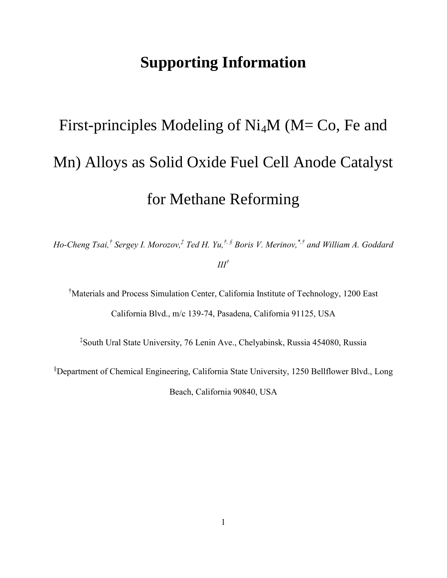## **Supporting Information**

## First-principles Modeling of  $Ni<sub>4</sub>M$  (M= Co, Fe and Mn) Alloys as Solid Oxide Fuel Cell Anode Catalyst for Methane Reforming

*Ho-Cheng Tsai,† Sergey I. Morozov, ‡ Ted H. Yu,†, § Boris V. Merinov, \*,† and William A. Goddard III†*

†Materials and Process Simulation Center, California Institute of Technology, 1200 East California Blvd., m/c 139-74, Pasadena, California 91125, USA

‡ South Ural State University, 76 Lenin Ave., Chelyabinsk, Russia 454080, Russia

§Department of Chemical Engineering, California State University, 1250 Bellflower Blvd., Long Beach, California 90840, USA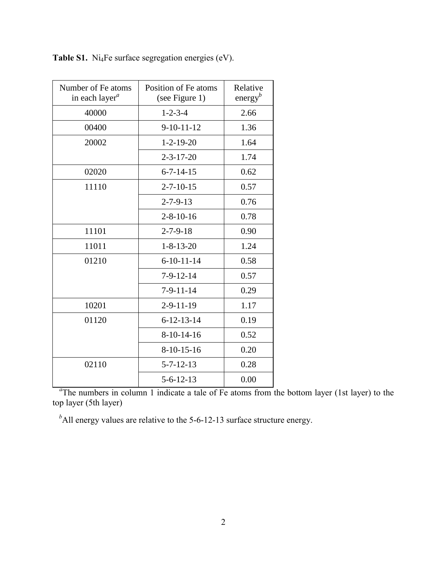| Number of Fe atoms<br>in each layer <sup>a</sup> | Position of Fe atoms<br>(see Figure 1) | Relative<br>energy <sup>b</sup> |
|--------------------------------------------------|----------------------------------------|---------------------------------|
| 40000                                            | $1 - 2 - 3 - 4$                        | 2.66                            |
| 00400                                            | $9 - 10 - 11 - 12$                     | 1.36                            |
| 20002                                            | $1 - 2 - 19 - 20$                      | 1.64                            |
|                                                  | $2 - 3 - 17 - 20$                      | 1.74                            |
| 02020                                            | $6 - 7 - 14 - 15$                      | 0.62                            |
| 11110                                            | $2 - 7 - 10 - 15$                      | 0.57                            |
|                                                  | $2 - 7 - 9 - 13$                       | 0.76                            |
|                                                  | $2 - 8 - 10 - 16$                      | 0.78                            |
| 11101                                            | $2 - 7 - 9 - 18$                       | 0.90                            |
| 11011                                            | $1 - 8 - 13 - 20$                      | 1.24                            |
| 01210                                            | $6 - 10 - 11 - 14$                     | 0.58                            |
|                                                  | $7 - 9 - 12 - 14$                      | 0.57                            |
|                                                  | $7 - 9 - 11 - 14$                      | 0.29                            |
| 10201                                            | $2 - 9 - 11 - 19$                      | 1.17                            |
| 01120                                            | $6 - 12 - 13 - 14$                     | 0.19                            |
|                                                  | $8-10-14-16$                           | 0.52                            |
|                                                  | $8-10-15-16$                           | 0.20                            |
| 02110                                            | $5 - 7 - 12 - 13$                      | 0.28                            |
|                                                  | $5 - 6 - 12 - 13$                      | 0.00                            |

Table S1. Ni<sub>4</sub>Fe surface segregation energies (eV).

<sup>a</sup>The numbers in column 1 indicate a tale of Fe atoms from the bottom layer (1st layer) to the top layer (5th layer)

<sup>*b*</sup>All energy values are relative to the 5-6-12-13 surface structure energy.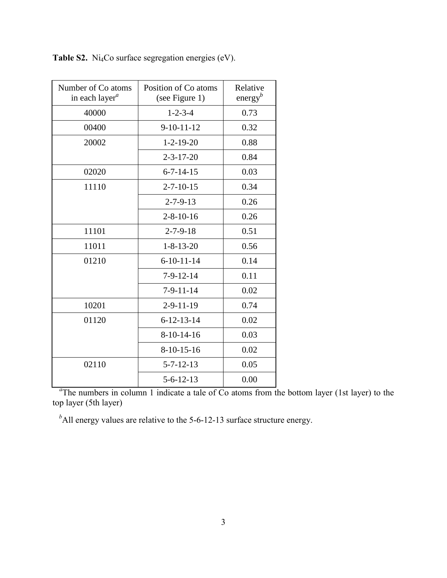| Number of Co atoms<br>in each layer <sup>a</sup> | Position of Co atoms<br>(see Figure 1) | Relative<br>energy <sup>b</sup> |
|--------------------------------------------------|----------------------------------------|---------------------------------|
| 40000                                            | $1 - 2 - 3 - 4$                        | 0.73                            |
| 00400                                            | $9-10-11-12$                           | 0.32                            |
| 20002                                            | $1 - 2 - 19 - 20$                      | 0.88                            |
|                                                  | $2 - 3 - 17 - 20$                      | 0.84                            |
| 02020                                            | $6 - 7 - 14 - 15$                      | 0.03                            |
| 11110                                            | $2 - 7 - 10 - 15$                      | 0.34                            |
|                                                  | $2 - 7 - 9 - 13$                       | 0.26                            |
|                                                  | $2 - 8 - 10 - 16$                      | 0.26                            |
| 11101                                            | $2 - 7 - 9 - 18$                       | 0.51                            |
| 11011                                            | $1 - 8 - 13 - 20$                      | 0.56                            |
| 01210                                            | $6 - 10 - 11 - 14$                     | 0.14                            |
|                                                  | $7-9-12-14$                            | 0.11                            |
|                                                  | $7-9-11-14$                            | 0.02                            |
| 10201                                            | $2 - 9 - 11 - 19$                      | 0.74                            |
| 01120                                            | $6 - 12 - 13 - 14$                     | 0.02                            |
|                                                  | $8-10-14-16$                           | 0.03                            |
|                                                  | $8-10-15-16$                           | 0.02                            |
| 02110                                            | $5 - 7 - 12 - 13$                      | 0.05                            |
|                                                  | $5 - 6 - 12 - 13$                      | 0.00                            |

Table S2. Ni<sub>4</sub>Co surface segregation energies (eV).

<sup>a</sup>The numbers in column 1 indicate a tale of Co atoms from the bottom layer (1st layer) to the top layer (5th layer)

<sup>*b*</sup>All energy values are relative to the 5-6-12-13 surface structure energy.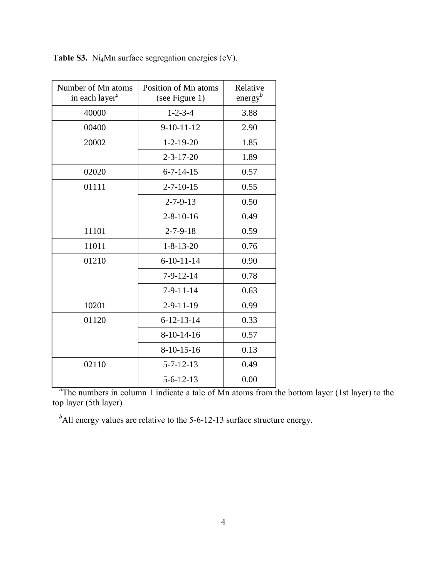| Number of Mn atoms<br>in each layer <sup>a</sup> | Position of Mn atoms<br>(see Figure 1) | Relative<br>energy <sup>b</sup> |
|--------------------------------------------------|----------------------------------------|---------------------------------|
| 40000                                            | $1 - 2 - 3 - 4$                        | 3.88                            |
| 00400                                            | $9-10-11-12$                           | 2.90                            |
| 20002                                            | $1 - 2 - 19 - 20$                      | 1.85                            |
|                                                  | $2 - 3 - 17 - 20$                      | 1.89                            |
| 02020                                            | $6 - 7 - 14 - 15$                      | 0.57                            |
| 01111                                            | $2 - 7 - 10 - 15$                      | 0.55                            |
|                                                  | $2 - 7 - 9 - 13$                       | 0.50                            |
|                                                  | $2 - 8 - 10 - 16$                      | 0.49                            |
| 11101                                            | $2 - 7 - 9 - 18$                       | 0.59                            |
| 11011                                            | $1 - 8 - 13 - 20$                      | 0.76                            |
| 01210                                            | $6 - 10 - 11 - 14$                     | 0.90                            |
|                                                  | $7 - 9 - 12 - 14$                      | 0.78                            |
|                                                  | $7 - 9 - 11 - 14$                      | 0.63                            |
| 10201                                            | $2 - 9 - 11 - 19$                      | 0.99                            |
| 01120                                            | $6 - 12 - 13 - 14$                     | 0.33                            |
|                                                  | $8-10-14-16$                           | 0.57                            |
|                                                  | $8-10-15-16$                           | 0.13                            |
| 02110                                            | $5 - 7 - 12 - 13$                      | 0.49                            |
|                                                  | $5 - 6 - 12 - 13$                      | 0.00                            |

Table S3. Ni<sub>4</sub>Mn surface segregation energies (eV).

<sup>a</sup>The numbers in column 1 indicate a tale of Mn atoms from the bottom layer (1st layer) to the top layer (5th layer)

<sup>*b*</sup>All energy values are relative to the 5-6-12-13 surface structure energy.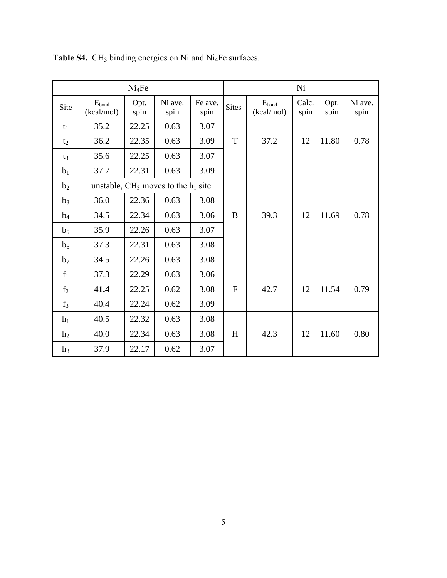| Ni <sub>4</sub> Fe |                          |              |                                          |                 |              |                          | Ni            |              |                 |
|--------------------|--------------------------|--------------|------------------------------------------|-----------------|--------------|--------------------------|---------------|--------------|-----------------|
| Site               | $E_{bond}$<br>(kcal/mol) | Opt.<br>spin | Ni ave.<br>spin                          | Fe ave.<br>spin | <b>Sites</b> | $E_{bond}$<br>(kcal/mol) | Calc.<br>spin | Opt.<br>spin | Ni ave.<br>spin |
| $t_1$              | 35.2                     | 22.25        | 0.63                                     | 3.07            |              |                          |               |              |                 |
| t <sub>2</sub>     | 36.2                     | 22.35        | 0.63                                     | 3.09            | T            | 37.2                     | 12            | 11.80        | 0.78            |
| $t_3$              | 35.6                     | 22.25        | 0.63                                     | 3.07            |              |                          |               |              |                 |
| b <sub>1</sub>     | 37.7                     | 22.31        | 0.63                                     | 3.09            |              |                          |               |              |                 |
| b <sub>2</sub>     |                          |              | unstable, $CH_3$ moves to the $h_1$ site |                 |              |                          |               |              |                 |
| $b_3$              | 36.0                     | 22.36        | 0.63                                     | 3.08            |              |                          |               |              |                 |
| $b_4$              | 34.5                     | 22.34        | 0.63                                     | 3.06            | B            | 39.3                     | 12            | 11.69        | 0.78            |
| b <sub>5</sub>     | 35.9                     | 22.26        | 0.63                                     | 3.07            |              |                          |               |              |                 |
| b <sub>6</sub>     | 37.3                     | 22.31        | 0.63                                     | 3.08            |              |                          |               |              |                 |
| b <sub>7</sub>     | 34.5                     | 22.26        | 0.63                                     | 3.08            |              |                          |               |              |                 |
| $f_1$              | 37.3                     | 22.29        | 0.63                                     | 3.06            |              |                          |               |              |                 |
| f <sub>2</sub>     | 41.4                     | 22.25        | 0.62                                     | 3.08            | $\mathbf{F}$ | 42.7                     | 12            | 11.54        | 0.79            |
| $f_3$              | 40.4                     | 22.24        | 0.62                                     | 3.09            |              |                          |               |              |                 |
| $h_1$              | 40.5                     | 22.32        | 0.63                                     | 3.08            |              |                          |               |              |                 |
| h <sub>2</sub>     | 40.0                     | 22.34        | 0.63                                     | 3.08            | H            | 42.3                     | 12            | 11.60        | 0.80            |
| h <sub>3</sub>     | 37.9                     | 22.17        | 0.62                                     | 3.07            |              |                          |               |              |                 |

Table S4. CH<sub>3</sub> binding energies on Ni and Ni<sub>4</sub>Fe surfaces.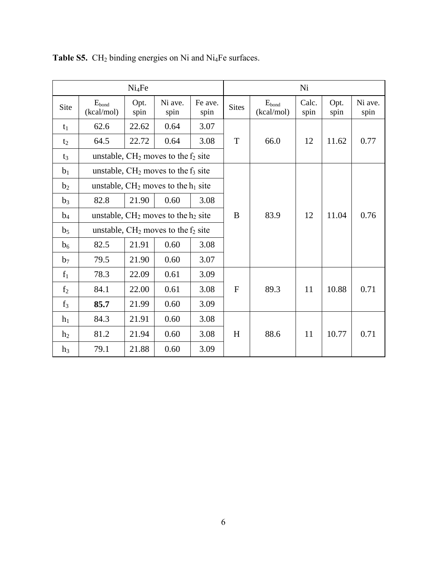| Ni <sub>4</sub> Fe |                                        |              |                                        |                 |              |                          | Ni            |              |                 |
|--------------------|----------------------------------------|--------------|----------------------------------------|-----------------|--------------|--------------------------|---------------|--------------|-----------------|
| Site               | $E_{bond}$<br>(kcal/mol)               | Opt.<br>spin | Ni ave.<br>spin                        | Fe ave.<br>spin | <b>Sites</b> | $E_{bond}$<br>(kcal/mol) | Calc.<br>spin | Opt.<br>spin | Ni ave.<br>spin |
| $t_1$              | 62.6                                   | 22.62        | 0.64                                   | 3.07            |              |                          |               |              |                 |
| $t_2$              | 64.5                                   | 22.72        | 0.64                                   | 3.08            | T            | 66.0                     | 12            | 11.62        | 0.77            |
| $t_3$              |                                        |              | unstable, $CH2$ moves to the $f2$ site |                 |              |                          |               |              |                 |
| b <sub>1</sub>     |                                        |              | unstable, $CH2$ moves to the $f3$ site |                 |              |                          |               |              |                 |
| b <sub>2</sub>     |                                        |              | unstable, $CH2$ moves to the $h1$ site |                 |              |                          |               |              |                 |
| $b_3$              | 82.8                                   | 21.90        | 0.60                                   | 3.08            |              |                          |               |              |                 |
| $b_4$              | unstable, $CH2$ moves to the $h2$ site |              |                                        |                 | B            | 83.9                     | 12            | 11.04        | 0.76            |
| b <sub>5</sub>     | unstable, $CH2$ moves to the $f2$ site |              |                                        |                 |              |                          |               |              |                 |
| b <sub>6</sub>     | 82.5                                   | 21.91        | 0.60                                   | 3.08            |              |                          |               |              |                 |
| b <sub>7</sub>     | 79.5                                   | 21.90        | 0.60                                   | 3.07            |              |                          |               |              |                 |
| $f_1$              | 78.3                                   | 22.09        | 0.61                                   | 3.09            |              |                          |               |              |                 |
| f <sub>2</sub>     | 84.1                                   | 22.00        | 0.61                                   | 3.08            | $\mathbf{F}$ | 89.3                     | 11            | 10.88        | 0.71            |
| $f_3$              | 85.7                                   | 21.99        | 0.60                                   | 3.09            |              |                          |               |              |                 |
| h <sub>1</sub>     | 84.3                                   | 21.91        | 0.60                                   | 3.08            |              |                          |               |              |                 |
| h <sub>2</sub>     | 81.2                                   | 21.94        | 0.60                                   | 3.08            | H            | 88.6                     | 11            | 10.77        | 0.71            |
| h <sub>3</sub>     | 79.1                                   | 21.88        | 0.60                                   | 3.09            |              |                          |               |              |                 |

Table S5. CH<sub>2</sub> binding energies on Ni and Ni<sub>4</sub>Fe surfaces.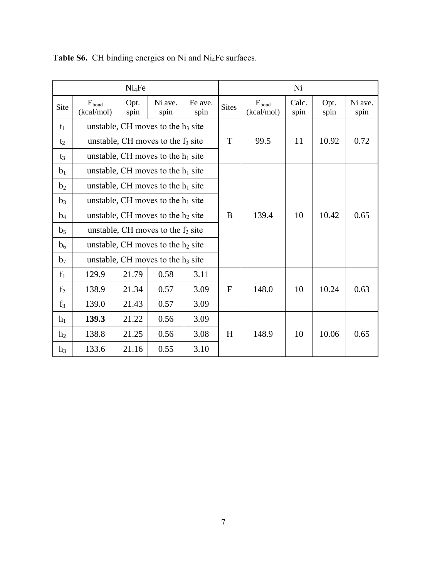| Ni <sub>4</sub> Fe |                                      |                                      |                                      |                 |              |                          | Ni            |              |                 |
|--------------------|--------------------------------------|--------------------------------------|--------------------------------------|-----------------|--------------|--------------------------|---------------|--------------|-----------------|
| Site               | $E_{bond}$<br>(kcal/mol)             | Opt.<br>spin                         | Ni ave.<br>spin                      | Fe ave.<br>spin | <b>Sites</b> | $E_{bond}$<br>(kcal/mol) | Calc.<br>spin | Opt.<br>spin | Ni ave.<br>spin |
| $t_1$              |                                      |                                      | unstable, CH moves to the $h_3$ site |                 |              |                          |               |              |                 |
| t <sub>2</sub>     |                                      |                                      | unstable, CH moves to the $f_3$ site |                 | T            | 99.5                     | 11            | 10.92        | 0.72            |
| $t_3$              |                                      |                                      | unstable, CH moves to the $h_1$ site |                 |              |                          |               |              |                 |
| b <sub>1</sub>     |                                      |                                      | unstable, CH moves to the $h_1$ site |                 |              |                          |               |              |                 |
| b <sub>2</sub>     |                                      |                                      | unstable, CH moves to the $h_1$ site |                 |              |                          |               |              |                 |
| $b_3$              |                                      | unstable, CH moves to the $h_1$ site |                                      |                 |              |                          |               |              |                 |
| $b_4$              |                                      |                                      | unstable, CH moves to the $h_2$ site |                 | B            | 139.4                    | 10            | 10.42        | 0.65            |
| b <sub>5</sub>     | unstable, CH moves to the $f_2$ site |                                      |                                      |                 |              |                          |               |              |                 |
| b <sub>6</sub>     | unstable, CH moves to the $h_2$ site |                                      |                                      |                 |              |                          |               |              |                 |
| b <sub>7</sub>     |                                      |                                      | unstable, CH moves to the $h_3$ site |                 |              |                          |               |              |                 |
| $f_1$              | 129.9                                | 21.79                                | 0.58                                 | 3.11            |              |                          |               |              |                 |
| f <sub>2</sub>     | 138.9                                | 21.34                                | 0.57                                 | 3.09            | F            | 148.0                    | 10            | 10.24        | 0.63            |
| $f_3$              | 139.0                                | 21.43                                | 0.57                                 | 3.09            |              |                          |               |              |                 |
| h <sub>1</sub>     | 139.3                                | 21.22                                | 0.56                                 | 3.09            |              |                          |               |              |                 |
| h <sub>2</sub>     | 138.8                                | 21.25                                | 0.56                                 | 3.08            | H            | 148.9                    | 10            | 10.06        | 0.65            |
| h <sub>3</sub>     | 133.6                                | 21.16                                | 0.55                                 | 3.10            |              |                          |               |              |                 |

**Table S6.** CH binding energies on Ni and Ni4Fe surfaces.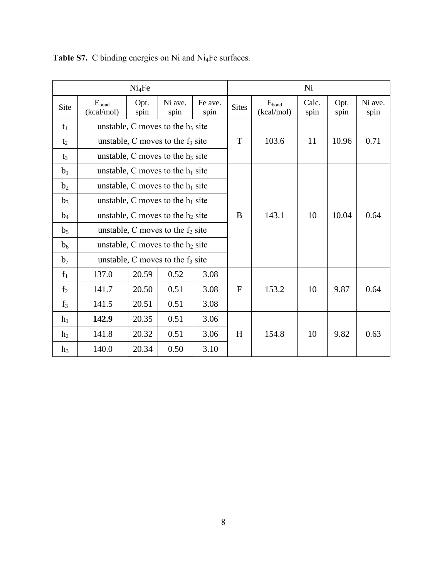| Ni <sub>4</sub> Fe |                                     |                                     |                                     |                 |              |                                 | Ni            |              |                 |
|--------------------|-------------------------------------|-------------------------------------|-------------------------------------|-----------------|--------------|---------------------------------|---------------|--------------|-----------------|
| Site               | $E_{\text{bond}}$<br>(kcal/mol)     | Opt.<br>spin                        | Ni ave.<br>spin                     | Fe ave.<br>spin | <b>Sites</b> | $E_{\text{bond}}$<br>(kcal/mol) | Calc.<br>spin | Opt.<br>spin | Ni ave.<br>spin |
| $t_1$              |                                     |                                     | unstable, C moves to the $h_3$ site |                 |              |                                 |               |              |                 |
| $t_2$              |                                     |                                     | unstable, C moves to the $f_3$ site |                 | T            | 103.6                           | 11            | 10.96        | 0.71            |
| $t_3$              |                                     |                                     | unstable, C moves to the $h_3$ site |                 |              |                                 |               |              |                 |
| b <sub>1</sub>     |                                     |                                     | unstable, C moves to the $h_1$ site |                 |              |                                 |               |              |                 |
| b <sub>2</sub>     |                                     |                                     | unstable, C moves to the $h_1$ site |                 |              |                                 |               |              |                 |
| $b_3$              |                                     |                                     | unstable, C moves to the $h_1$ site |                 |              |                                 |               |              |                 |
| $b_4$              |                                     | unstable, C moves to the $h_2$ site |                                     |                 | B            | 143.1                           | 10            | 10.04        | 0.64            |
| b <sub>5</sub>     | unstable, C moves to the $f_2$ site |                                     |                                     |                 |              |                                 |               |              |                 |
| b <sub>6</sub>     | unstable, C moves to the $h_2$ site |                                     |                                     |                 |              |                                 |               |              |                 |
| b <sub>7</sub>     |                                     |                                     | unstable, C moves to the $f_3$ site |                 |              |                                 |               |              |                 |
| $f_1$              | 137.0                               | 20.59                               | 0.52                                | 3.08            |              |                                 |               |              |                 |
| f <sub>2</sub>     | 141.7                               | 20.50                               | 0.51                                | 3.08            | $\mathbf F$  | 153.2                           | 10            | 9.87         | 0.64            |
| $f_3$              | 141.5                               | 20.51                               | 0.51                                | 3.08            |              |                                 |               |              |                 |
| $h_1$              | 142.9                               | 20.35                               | 0.51                                | 3.06            |              |                                 |               |              |                 |
| h <sub>2</sub>     | 141.8                               | 20.32                               | 0.51                                | 3.06            | H            | 154.8                           | 10            | 9.82         | 0.63            |
| h <sub>3</sub>     | 140.0                               | 20.34                               | 0.50                                | 3.10            |              |                                 |               |              |                 |

Table S7. C binding energies on Ni and Ni<sub>4</sub>Fe surfaces.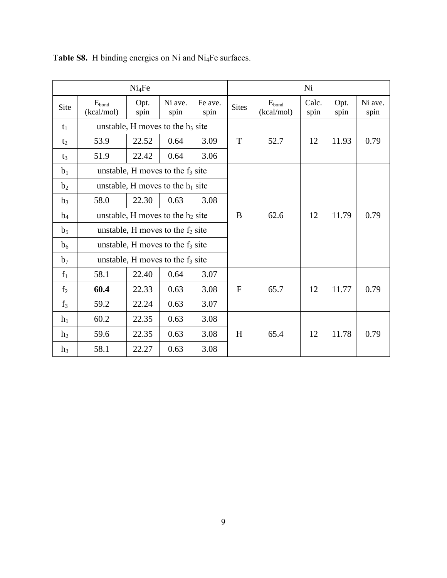| Ni <sub>4</sub> Fe |                                     |                                     |                                     |                 |              |                          | Ni            |              |                 |
|--------------------|-------------------------------------|-------------------------------------|-------------------------------------|-----------------|--------------|--------------------------|---------------|--------------|-----------------|
| Site               | $E_{bond}$<br>(kcal/mol)            | Opt.<br>spin                        | Ni ave.<br>spin                     | Fe ave.<br>spin | <b>Sites</b> | $E_{bond}$<br>(kcal/mol) | Calc.<br>spin | Opt.<br>spin | Ni ave.<br>spin |
| $t_1$              |                                     |                                     | unstable, H moves to the $h_3$ site |                 |              |                          |               |              |                 |
| t <sub>2</sub>     | 53.9                                | 22.52                               | 0.64                                | 3.09            | T            | 52.7                     | 12            | 11.93        | 0.79            |
| $t_3$              | 51.9                                | 22.42                               | 0.64                                | 3.06            |              |                          |               |              |                 |
| b <sub>1</sub>     |                                     |                                     | unstable, H moves to the $f_3$ site |                 |              |                          |               |              |                 |
| b <sub>2</sub>     |                                     |                                     | unstable, H moves to the $h_1$ site |                 |              |                          |               |              |                 |
| $b_3$              | 58.0                                | 22.30                               | 0.63                                | 3.08            |              |                          |               |              |                 |
| $b_4$              |                                     | unstable, H moves to the $h_2$ site |                                     |                 | B            | 62.6                     | 12            | 11.79        | 0.79            |
| b <sub>5</sub>     | unstable, H moves to the $f_2$ site |                                     |                                     |                 |              |                          |               |              |                 |
| b <sub>6</sub>     |                                     |                                     | unstable, H moves to the $f_3$ site |                 |              |                          |               |              |                 |
| b <sub>7</sub>     |                                     |                                     | unstable, H moves to the $f_3$ site |                 |              |                          |               |              |                 |
| $f_1$              | 58.1                                | 22.40                               | 0.64                                | 3.07            |              |                          |               |              |                 |
| f <sub>2</sub>     | 60.4                                | 22.33                               | 0.63                                | 3.08            | F            | 65.7                     | 12            | 11.77        | 0.79            |
| $f_3$              | 59.2                                | 22.24                               | 0.63                                | 3.07            |              |                          |               |              |                 |
| h <sub>1</sub>     | 60.2                                | 22.35                               | 0.63                                | 3.08            |              |                          |               |              |                 |
| h <sub>2</sub>     | 59.6                                | 22.35                               | 0.63                                | 3.08            | H            | 65.4                     | 12            | 11.78        | 0.79            |
| h <sub>3</sub>     | 58.1                                | 22.27                               | 0.63                                | 3.08            |              |                          |               |              |                 |

**Table S8.** H binding energies on Ni and Ni4Fe surfaces.